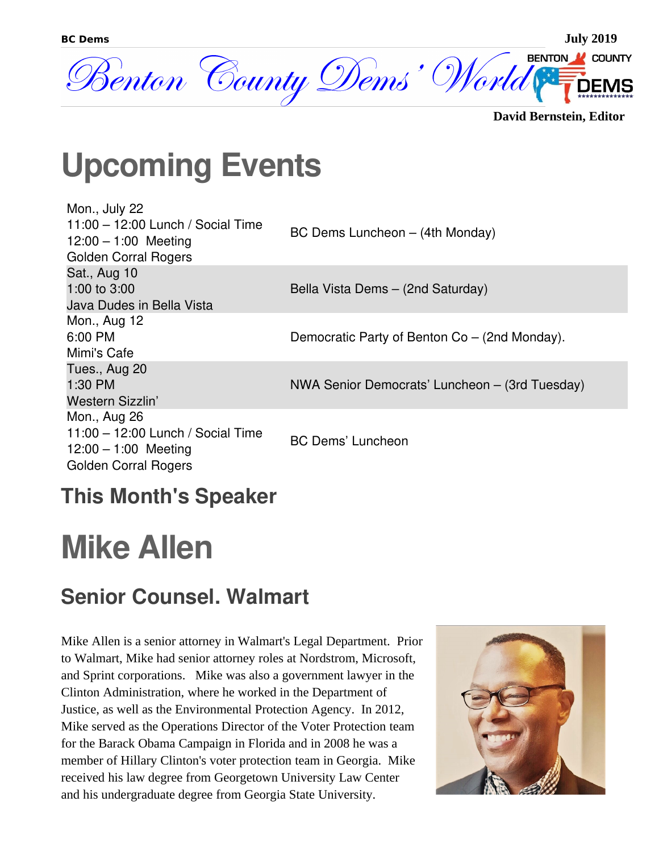

**David Bernstein, Editor**

## **Upcoming Events**

| Mon., July 22<br>$11:00 - 12:00$ Lunch / Social Time<br>$12:00 - 1:00$ Meeting<br><b>Golden Corral Rogers</b> | BC Dems Luncheon - (4th Monday)                |
|---------------------------------------------------------------------------------------------------------------|------------------------------------------------|
| Sat., Aug 10<br>1:00 to $3:00$<br>Java Dudes in Bella Vista                                                   | Bella Vista Dems - (2nd Saturday)              |
| Mon., Aug 12<br>6:00 PM<br>Mimi's Cafe                                                                        | Democratic Party of Benton Co – (2nd Monday).  |
| Tues., Aug 20<br>1:30 PM<br>Western Sizzlin'                                                                  | NWA Senior Democrats' Luncheon – (3rd Tuesday) |
| Mon., Aug 26<br>$11:00 - 12:00$ Lunch / Social Time<br>12:00 $-$ 1:00 Meeting<br><b>Golden Corral Rogers</b>  | <b>BC Dems' Luncheon</b>                       |

### **This Month's Speaker**

## **Mike Allen**

#### **Senior Counsel. Walmart**

Mike Allen is a senior attorney in Walmart's Legal Department. Prior to Walmart, Mike had senior attorney roles at Nordstrom, Microsoft, and Sprint corporations. Mike was also a government lawyer in the Clinton Administration, where he worked in the Department of Justice, as well as the Environmental Protection Agency. In 2012, Mike served as the Operations Director of the Voter Protection team for the Barack Obama Campaign in Florida and in 2008 he was a member of Hillary Clinton's voter protection team in Georgia. Mike received his law degree from Georgetown University Law Center and his undergraduate degree from Georgia State University.

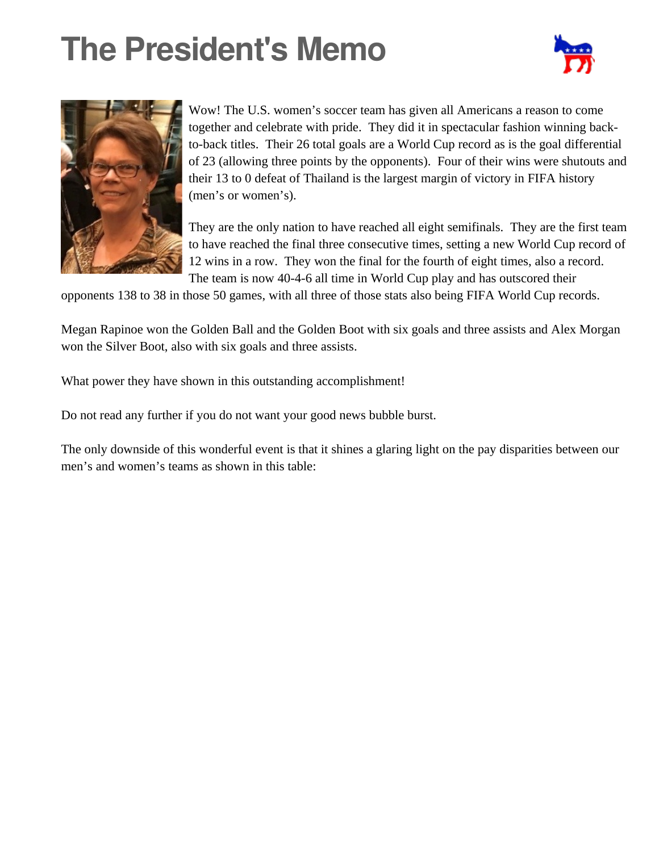# **The President's Memo**





Wow! The U.S. women's soccer team has given all Americans a reason to come together and celebrate with pride. They did it in spectacular fashion winning backto-back titles. Their 26 total goals are a World Cup record as is the goal differential of 23 (allowing three points by the opponents). Four of their wins were shutouts and their 13 to 0 defeat of Thailand is the largest margin of victory in FIFA history (men's or women's).

They are the only nation to have reached all eight semifinals. They are the first team to have reached the final three consecutive times, setting a new World Cup record of 12 wins in a row. They won the final for the fourth of eight times, also a record. The team is now 40-4-6 all time in World Cup play and has outscored their

opponents 138 to 38 in those 50 games, with all three of those stats also being FIFA World Cup records.

Megan Rapinoe won the Golden Ball and the Golden Boot with six goals and three assists and Alex Morgan won the Silver Boot, also with six goals and three assists.

What power they have shown in this outstanding accomplishment!

Do not read any further if you do not want your good news bubble burst.

The only downside of this wonderful event is that it shines a glaring light on the pay disparities between our men's and women's teams as shown in this table: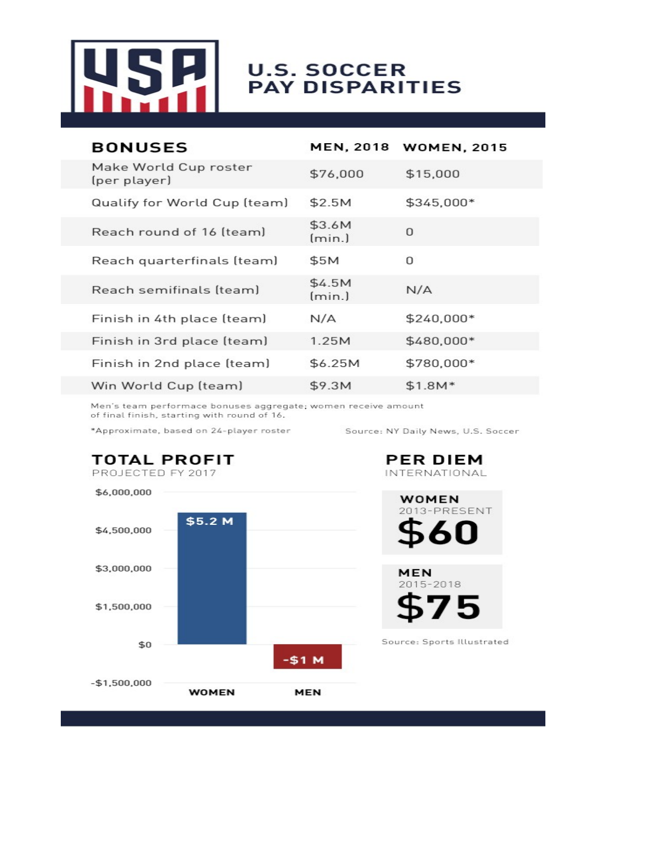

# **U.S. SOCCER<br>PAY DISPARITIES**

| <b>BONUSES</b>                        | <b>MEN, 2018</b> | <b>WOMEN, 2015</b> |
|---------------------------------------|------------------|--------------------|
| Make World Cup roster<br>(per player) | \$76,000         | \$15,000           |
| Qualify for World Cup (team)          | \$2.5M           | \$345,000*         |
| Reach round of 16 (team)              | \$3.6M<br>(min.) | $\Omega$           |
| Reach quarterfinals (team)            | \$5M             | O                  |
| Reach semifinals (team)               | \$4.5M<br>(min.) | N/A                |
| Finish in 4th place (team)            | N/A              | \$240,000*         |
| Finish in 3rd place (team)            | 1.25M            | \$480,000*         |
| Finish in 2nd place (team)            | \$6.25M          | \$780,000*         |
| Win World Cup (team)                  | \$9.3M           | $$1.8M*$           |

Men's team performace bonuses aggregate; women receive amount of final finish, starting with round of 16.

\*Approximate, based on 24-player roster

Source: NY Daily News, U.S. Soccer

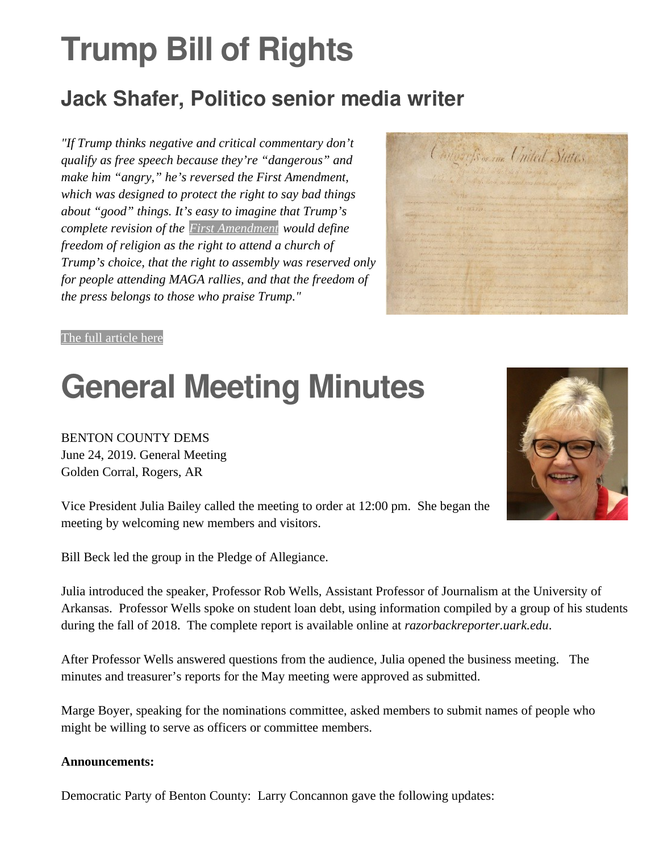# **Trump Bill of Rights**

#### **Jack Shafer, Politico senior media writer**

*"If Trump thinks negative and critical commentary don't qualify as free speech because they're "dangerous" and make him "angry," he's reversed the First Amendment, which was designed to protect the right to say bad things about "good" things. It's easy to imagine that Trump's complete revision of the [First Amendment](https://www.law.cornell.edu/constitution/first_amendment) would define freedom of religion as the right to attend a church of Trump's choice, that the right to assembly was reserved only for people attending MAGA rallies, and that the freedom of the press belongs to those who praise Trump."*



#### [The full article here](https://www.politico.com/magazine/story/2019/07/12/the-trump-bill-of-rights-227356)

### **General Meeting Minutes**

BENTON COUNTY DEMS June 24, 2019. General Meeting Golden Corral, Rogers, AR



Vice President Julia Bailey called the meeting to order at 12:00 pm. She began the meeting by welcoming new members and visitors.

Bill Beck led the group in the Pledge of Allegiance.

Julia introduced the speaker, Professor Rob Wells, Assistant Professor of Journalism at the University of Arkansas. Professor Wells spoke on student loan debt, using information compiled by a group of his students during the fall of 2018. The complete report is available online at *razorbackreporter.uark.edu*.

After Professor Wells answered questions from the audience, Julia opened the business meeting. The minutes and treasurer's reports for the May meeting were approved as submitted.

Marge Boyer, speaking for the nominations committee, asked members to submit names of people who might be willing to serve as officers or committee members.

#### **Announcements:**

Democratic Party of Benton County: Larry Concannon gave the following updates: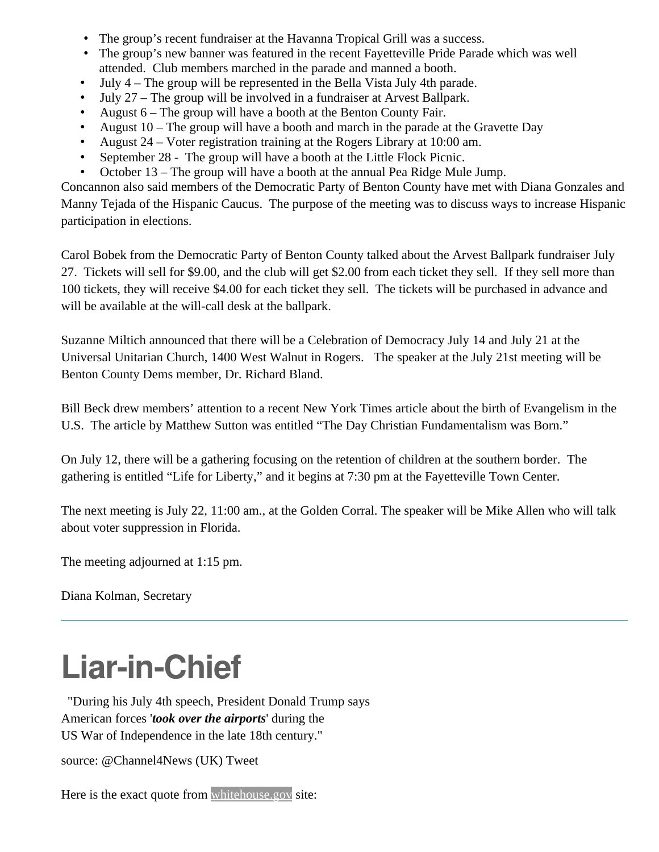- The group's recent fundraiser at the Havanna Tropical Grill was a success.
- The group's new banner was featured in the recent Fayetteville Pride Parade which was well attended. Club members marched in the parade and manned a booth.
- July 4 The group will be represented in the Bella Vista July 4th parade.
- July 27 The group will be involved in a fundraiser at Arvest Ballpark.
- August 6 The group will have a booth at the Benton County Fair.
- August 10 The group will have a booth and march in the parade at the Gravette Day
- August 24 Voter registration training at the Rogers Library at 10:00 am.
- September 28 The group will have a booth at the Little Flock Picnic.
- October 13 The group will have a booth at the annual Pea Ridge Mule Jump.

Concannon also said members of the Democratic Party of Benton County have met with Diana Gonzales and Manny Tejada of the Hispanic Caucus. The purpose of the meeting was to discuss ways to increase Hispanic participation in elections.

Carol Bobek from the Democratic Party of Benton County talked about the Arvest Ballpark fundraiser July 27. Tickets will sell for \$9.00, and the club will get \$2.00 from each ticket they sell. If they sell more than 100 tickets, they will receive \$4.00 for each ticket they sell. The tickets will be purchased in advance and will be available at the will-call desk at the ballpark.

Suzanne Miltich announced that there will be a Celebration of Democracy July 14 and July 21 at the Universal Unitarian Church, 1400 West Walnut in Rogers. The speaker at the July 21st meeting will be Benton County Dems member, Dr. Richard Bland.

Bill Beck drew members' attention to a recent New York Times article about the birth of Evangelism in the U.S. The article by Matthew Sutton was entitled "The Day Christian Fundamentalism was Born."

On July 12, there will be a gathering focusing on the retention of children at the southern border. The gathering is entitled "Life for Liberty," and it begins at 7:30 pm at the Fayetteville Town Center.

The next meeting is July 22, 11:00 am., at the Golden Corral. The speaker will be Mike Allen who will talk about voter suppression in Florida.

The meeting adjourned at 1:15 pm.

Diana Kolman, Secretary

### **Liar-in-Chief**

 "During his July 4th speech, President Donald Trump says American forces '*took over the airports*' during the US War of Independence in the late 18th century."

source: @Channel4News (UK) Tweet

Here is the exact quote from [whitehouse.gov](https://www.whitehouse.gov/briefings-statements/remarks-president-trump-salute-america/) site: